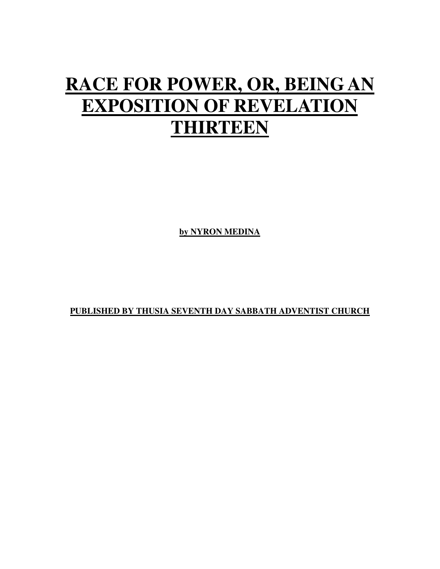## **RACE FOR POWER, OR, BEING AN EXPOSITION OF REVELATION THIRTEEN**

**by NYRON MEDINA**

**PUBLISHED BY THUSIA SEVENTH DAY SABBATH ADVENTIST CHURCH**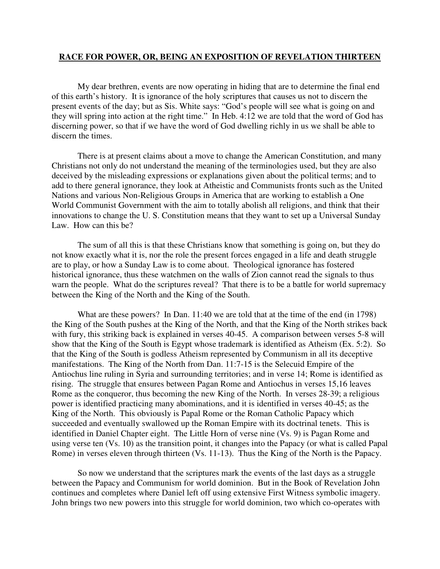## **RACE FOR POWER, OR, BEING AN EXPOSITION OF REVELATION THIRTEEN**

 My dear brethren, events are now operating in hiding that are to determine the final end of this earth's history. It is ignorance of the holy scriptures that causes us not to discern the present events of the day; but as Sis. White says: "God's people will see what is going on and they will spring into action at the right time." In Heb. 4:12 we are told that the word of God has discerning power, so that if we have the word of God dwelling richly in us we shall be able to discern the times.

 There is at present claims about a move to change the American Constitution, and many Christians not only do not understand the meaning of the terminologies used, but they are also deceived by the misleading expressions or explanations given about the political terms; and to add to there general ignorance, they look at Atheistic and Communists fronts such as the United Nations and various Non-Religious Groups in America that are working to establish a One World Communist Government with the aim to totally abolish all religions, and think that their innovations to change the U. S. Constitution means that they want to set up a Universal Sunday Law. How can this be?

 The sum of all this is that these Christians know that something is going on, but they do not know exactly what it is, nor the role the present forces engaged in a life and death struggle are to play, or how a Sunday Law is to come about. Theological ignorance has fostered historical ignorance, thus these watchmen on the walls of Zion cannot read the signals to thus warn the people. What do the scriptures reveal? That there is to be a battle for world supremacy between the King of the North and the King of the South.

 What are these powers? In Dan. 11:40 we are told that at the time of the end (in 1798) the King of the South pushes at the King of the North, and that the King of the North strikes back with fury, this striking back is explained in verses 40-45. A comparison between verses 5-8 will show that the King of the South is Egypt whose trademark is identified as Atheism (Ex. 5:2). So that the King of the South is godless Atheism represented by Communism in all its deceptive manifestations. The King of the North from Dan. 11:7-15 is the Selecuid Empire of the Antiochus line ruling in Syria and surrounding territories; and in verse 14; Rome is identified as rising. The struggle that ensures between Pagan Rome and Antiochus in verses 15,16 leaves Rome as the conqueror, thus becoming the new King of the North. In verses 28-39; a religious power is identified practicing many abominations, and it is identified in verses 40-45; as the King of the North. This obviously is Papal Rome or the Roman Catholic Papacy which succeeded and eventually swallowed up the Roman Empire with its doctrinal tenets. This is identified in Daniel Chapter eight. The Little Horn of verse nine (Vs. 9) is Pagan Rome and using verse ten (Vs. 10) as the transition point, it changes into the Papacy (or what is called Papal Rome) in verses eleven through thirteen (Vs. 11-13). Thus the King of the North is the Papacy.

 So now we understand that the scriptures mark the events of the last days as a struggle between the Papacy and Communism for world dominion. But in the Book of Revelation John continues and completes where Daniel left off using extensive First Witness symbolic imagery. John brings two new powers into this struggle for world dominion, two which co-operates with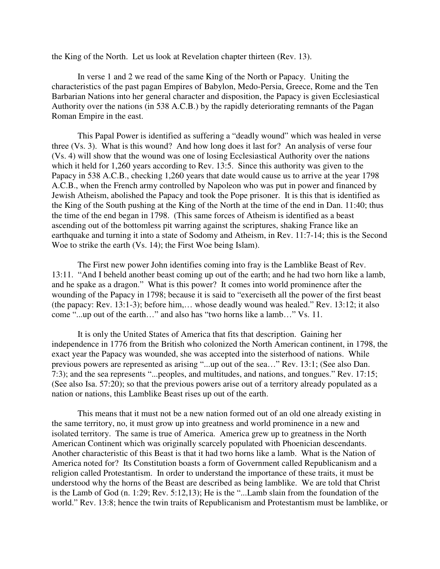the King of the North. Let us look at Revelation chapter thirteen (Rev. 13).

 In verse 1 and 2 we read of the same King of the North or Papacy. Uniting the characteristics of the past pagan Empires of Babylon, Medo-Persia, Greece, Rome and the Ten Barbarian Nations into her general character and disposition, the Papacy is given Ecclesiastical Authority over the nations (in 538 A.C.B.) by the rapidly deteriorating remnants of the Pagan Roman Empire in the east.

 This Papal Power is identified as suffering a "deadly wound" which was healed in verse three (Vs. 3). What is this wound? And how long does it last for? An analysis of verse four (Vs. 4) will show that the wound was one of losing Ecclesiastical Authority over the nations which it held for 1,260 years according to Rev. 13:5. Since this authority was given to the Papacy in 538 A.C.B., checking 1,260 years that date would cause us to arrive at the year 1798 A.C.B., when the French army controlled by Napoleon who was put in power and financed by Jewish Atheism, abolished the Papacy and took the Pope prisoner. It is this that is identified as the King of the South pushing at the King of the North at the time of the end in Dan. 11:40; thus the time of the end began in 1798. (This same forces of Atheism is identified as a beast ascending out of the bottomless pit warring against the scriptures, shaking France like an earthquake and turning it into a state of Sodomy and Atheism, in Rev. 11:7-14; this is the Second Woe to strike the earth (Vs. 14); the First Woe being Islam).

 The First new power John identifies coming into fray is the Lamblike Beast of Rev. 13:11. "And I beheld another beast coming up out of the earth; and he had two horn like a lamb, and he spake as a dragon." What is this power? It comes into world prominence after the wounding of the Papacy in 1798; because it is said to "exerciseth all the power of the first beast (the papacy: Rev. 13:1-3); before him,… whose deadly wound was healed." Rev. 13:12; it also come "...up out of the earth…" and also has "two horns like a lamb…" Vs. 11.

 It is only the United States of America that fits that description. Gaining her independence in 1776 from the British who colonized the North American continent, in 1798, the exact year the Papacy was wounded, she was accepted into the sisterhood of nations. While previous powers are represented as arising "...up out of the sea…" Rev. 13:1; (See also Dan. 7:3); and the sea represents "...peoples, and multitudes, and nations, and tongues." Rev. 17:15; (See also Isa. 57:20); so that the previous powers arise out of a territory already populated as a nation or nations, this Lamblike Beast rises up out of the earth.

 This means that it must not be a new nation formed out of an old one already existing in the same territory, no, it must grow up into greatness and world prominence in a new and isolated territory. The same is true of America. America grew up to greatness in the North American Continent which was originally scarcely populated with Phoenician descendants. Another characteristic of this Beast is that it had two horns like a lamb. What is the Nation of America noted for? Its Constitution boasts a form of Government called Republicanism and a religion called Protestantism. In order to understand the importance of these traits, it must be understood why the horns of the Beast are described as being lamblike. We are told that Christ is the Lamb of God (n. 1:29; Rev. 5:12,13); He is the "...Lamb slain from the foundation of the world." Rev. 13:8; hence the twin traits of Republicanism and Protestantism must be lamblike, or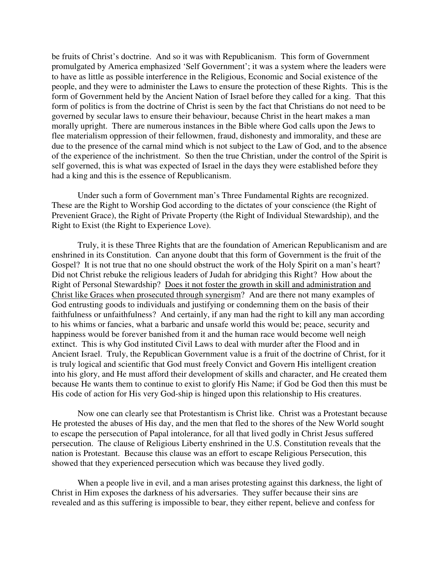be fruits of Christ's doctrine. And so it was with Republicanism. This form of Government promulgated by America emphasized 'Self Government'; it was a system where the leaders were to have as little as possible interference in the Religious, Economic and Social existence of the people, and they were to administer the Laws to ensure the protection of these Rights. This is the form of Government held by the Ancient Nation of Israel before they called for a king. That this form of politics is from the doctrine of Christ is seen by the fact that Christians do not need to be governed by secular laws to ensure their behaviour, because Christ in the heart makes a man morally upright. There are numerous instances in the Bible where God calls upon the Jews to flee materialism oppression of their fellowmen, fraud, dishonesty and immorality, and these are due to the presence of the carnal mind which is not subject to the Law of God, and to the absence of the experience of the inchristment. So then the true Christian, under the control of the Spirit is self governed, this is what was expected of Israel in the days they were established before they had a king and this is the essence of Republicanism.

 Under such a form of Government man's Three Fundamental Rights are recognized. These are the Right to Worship God according to the dictates of your conscience (the Right of Prevenient Grace), the Right of Private Property (the Right of Individual Stewardship), and the Right to Exist (the Right to Experience Love).

 Truly, it is these Three Rights that are the foundation of American Republicanism and are enshrined in its Constitution. Can anyone doubt that this form of Government is the fruit of the Gospel? It is not true that no one should obstruct the work of the Holy Spirit on a man's heart? Did not Christ rebuke the religious leaders of Judah for abridging this Right? How about the Right of Personal Stewardship? Does it not foster the growth in skill and administration and Christ like Graces when prosecuted through synergism? And are there not many examples of God entrusting goods to individuals and justifying or condemning them on the basis of their faithfulness or unfaithfulness? And certainly, if any man had the right to kill any man according to his whims or fancies, what a barbaric and unsafe world this would be; peace, security and happiness would be forever banished from it and the human race would become well neigh extinct. This is why God instituted Civil Laws to deal with murder after the Flood and in Ancient Israel. Truly, the Republican Government value is a fruit of the doctrine of Christ, for it is truly logical and scientific that God must freely Convict and Govern His intelligent creation into his glory, and He must afford their development of skills and character, and He created them because He wants them to continue to exist to glorify His Name; if God be God then this must be His code of action for His very God-ship is hinged upon this relationship to His creatures.

 Now one can clearly see that Protestantism is Christ like. Christ was a Protestant because He protested the abuses of His day, and the men that fled to the shores of the New World sought to escape the persecution of Papal intolerance, for all that lived godly in Christ Jesus suffered persecution. The clause of Religious Liberty enshrined in the U.S. Constitution reveals that the nation is Protestant. Because this clause was an effort to escape Religious Persecution, this showed that they experienced persecution which was because they lived godly.

 When a people live in evil, and a man arises protesting against this darkness, the light of Christ in Him exposes the darkness of his adversaries. They suffer because their sins are revealed and as this suffering is impossible to bear, they either repent, believe and confess for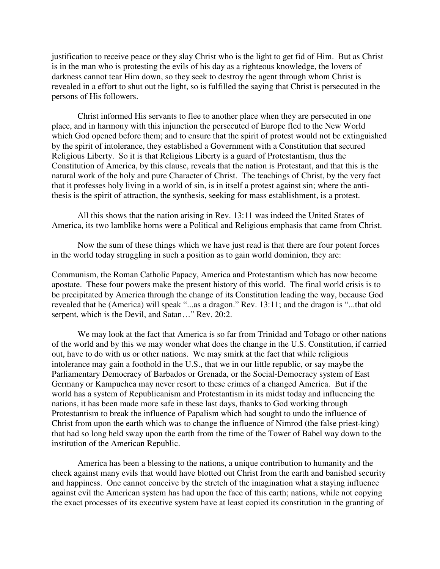justification to receive peace or they slay Christ who is the light to get fid of Him. But as Christ is in the man who is protesting the evils of his day as a righteous knowledge, the lovers of darkness cannot tear Him down, so they seek to destroy the agent through whom Christ is revealed in a effort to shut out the light, so is fulfilled the saying that Christ is persecuted in the persons of His followers.

 Christ informed His servants to flee to another place when they are persecuted in one place, and in harmony with this injunction the persecuted of Europe fled to the New World which God opened before them; and to ensure that the spirit of protest would not be extinguished by the spirit of intolerance, they established a Government with a Constitution that secured Religious Liberty. So it is that Religious Liberty is a guard of Protestantism, thus the Constitution of America, by this clause, reveals that the nation is Protestant, and that this is the natural work of the holy and pure Character of Christ. The teachings of Christ, by the very fact that it professes holy living in a world of sin, is in itself a protest against sin; where the antithesis is the spirit of attraction, the synthesis, seeking for mass establishment, is a protest.

 All this shows that the nation arising in Rev. 13:11 was indeed the United States of America, its two lamblike horns were a Political and Religious emphasis that came from Christ.

 Now the sum of these things which we have just read is that there are four potent forces in the world today struggling in such a position as to gain world dominion, they are:

Communism, the Roman Catholic Papacy, America and Protestantism which has now become apostate. These four powers make the present history of this world. The final world crisis is to be precipitated by America through the change of its Constitution leading the way, because God revealed that he (America) will speak "...as a dragon." Rev. 13:11; and the dragon is "...that old serpent, which is the Devil, and Satan…" Rev. 20:2.

 We may look at the fact that America is so far from Trinidad and Tobago or other nations of the world and by this we may wonder what does the change in the U.S. Constitution, if carried out, have to do with us or other nations. We may smirk at the fact that while religious intolerance may gain a foothold in the U.S., that we in our little republic, or say maybe the Parliamentary Democracy of Barbados or Grenada, or the Social-Democracy system of East Germany or Kampuchea may never resort to these crimes of a changed America. But if the world has a system of Republicanism and Protestantism in its midst today and influencing the nations, it has been made more safe in these last days, thanks to God working through Protestantism to break the influence of Papalism which had sought to undo the influence of Christ from upon the earth which was to change the influence of Nimrod (the false priest-king) that had so long held sway upon the earth from the time of the Tower of Babel way down to the institution of the American Republic.

 America has been a blessing to the nations, a unique contribution to humanity and the check against many evils that would have blotted out Christ from the earth and banished security and happiness. One cannot conceive by the stretch of the imagination what a staying influence against evil the American system has had upon the face of this earth; nations, while not copying the exact processes of its executive system have at least copied its constitution in the granting of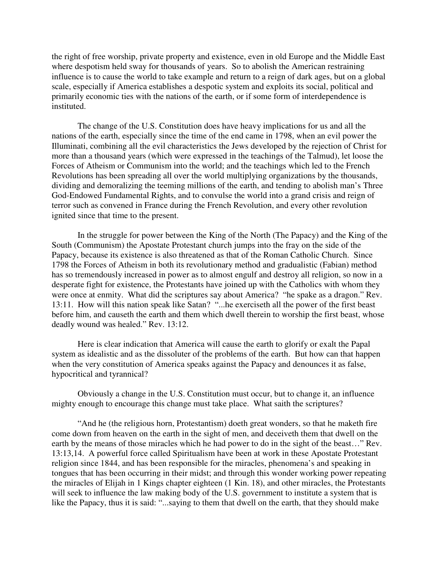the right of free worship, private property and existence, even in old Europe and the Middle East where despotism held sway for thousands of years. So to abolish the American restraining influence is to cause the world to take example and return to a reign of dark ages, but on a global scale, especially if America establishes a despotic system and exploits its social, political and primarily economic ties with the nations of the earth, or if some form of interdependence is instituted.

 The change of the U.S. Constitution does have heavy implications for us and all the nations of the earth, especially since the time of the end came in 1798, when an evil power the Illuminati, combining all the evil characteristics the Jews developed by the rejection of Christ for more than a thousand years (which were expressed in the teachings of the Talmud), let loose the Forces of Atheism or Communism into the world; and the teachings which led to the French Revolutions has been spreading all over the world multiplying organizations by the thousands, dividing and demoralizing the teeming millions of the earth, and tending to abolish man's Three God-Endowed Fundamental Rights, and to convulse the world into a grand crisis and reign of terror such as convened in France during the French Revolution, and every other revolution ignited since that time to the present.

 In the struggle for power between the King of the North (The Papacy) and the King of the South (Communism) the Apostate Protestant church jumps into the fray on the side of the Papacy, because its existence is also threatened as that of the Roman Catholic Church. Since 1798 the Forces of Atheism in both its revolutionary method and gradualistic (Fabian) method has so tremendously increased in power as to almost engulf and destroy all religion, so now in a desperate fight for existence, the Protestants have joined up with the Catholics with whom they were once at enmity. What did the scriptures say about America? "he spake as a dragon." Rev. 13:11. How will this nation speak like Satan? "...he exerciseth all the power of the first beast before him, and causeth the earth and them which dwell therein to worship the first beast, whose deadly wound was healed." Rev. 13:12.

 Here is clear indication that America will cause the earth to glorify or exalt the Papal system as idealistic and as the dissoluter of the problems of the earth. But how can that happen when the very constitution of America speaks against the Papacy and denounces it as false, hypocritical and tyrannical?

 Obviously a change in the U.S. Constitution must occur, but to change it, an influence mighty enough to encourage this change must take place. What saith the scriptures?

 "And he (the religious horn, Protestantism) doeth great wonders, so that he maketh fire come down from heaven on the earth in the sight of men, and deceiveth them that dwell on the earth by the means of those miracles which he had power to do in the sight of the beast…" Rev. 13:13,14. A powerful force called Spiritualism have been at work in these Apostate Protestant religion since 1844, and has been responsible for the miracles, phenomena's and speaking in tongues that has been occurring in their midst; and through this wonder working power repeating the miracles of Elijah in 1 Kings chapter eighteen (1 Kin. 18), and other miracles, the Protestants will seek to influence the law making body of the U.S. government to institute a system that is like the Papacy, thus it is said: "...saying to them that dwell on the earth, that they should make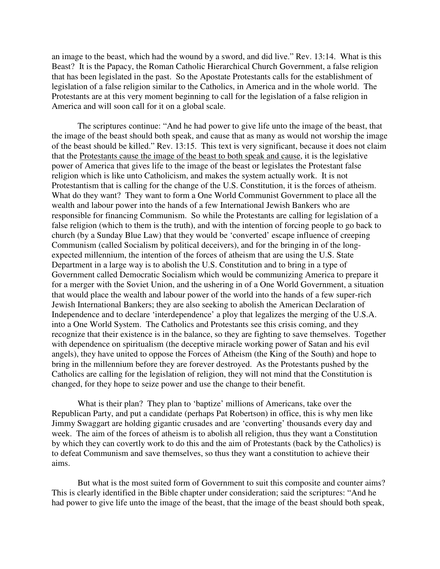an image to the beast, which had the wound by a sword, and did live." Rev. 13:14. What is this Beast? It is the Papacy, the Roman Catholic Hierarchical Church Government, a false religion that has been legislated in the past. So the Apostate Protestants calls for the establishment of legislation of a false religion similar to the Catholics, in America and in the whole world. The Protestants are at this very moment beginning to call for the legislation of a false religion in America and will soon call for it on a global scale.

 The scriptures continue: "And he had power to give life unto the image of the beast, that the image of the beast should both speak, and cause that as many as would not worship the image of the beast should be killed." Rev. 13:15. This text is very significant, because it does not claim that the Protestants cause the image of the beast to both speak and cause, it is the legislative power of America that gives life to the image of the beast or legislates the Protestant false religion which is like unto Catholicism, and makes the system actually work. It is not Protestantism that is calling for the change of the U.S. Constitution, it is the forces of atheism. What do they want? They want to form a One World Communist Government to place all the wealth and labour power into the hands of a few International Jewish Bankers who are responsible for financing Communism. So while the Protestants are calling for legislation of a false religion (which to them is the truth), and with the intention of forcing people to go back to church (by a Sunday Blue Law) that they would be 'converted' escape influence of creeping Communism (called Socialism by political deceivers), and for the bringing in of the longexpected millennium, the intention of the forces of atheism that are using the U.S. State Department in a large way is to abolish the U.S. Constitution and to bring in a type of Government called Democratic Socialism which would be communizing America to prepare it for a merger with the Soviet Union, and the ushering in of a One World Government, a situation that would place the wealth and labour power of the world into the hands of a few super-rich Jewish International Bankers; they are also seeking to abolish the American Declaration of Independence and to declare 'interdependence' a ploy that legalizes the merging of the U.S.A. into a One World System. The Catholics and Protestants see this crisis coming, and they recognize that their existence is in the balance, so they are fighting to save themselves. Together with dependence on spiritualism (the deceptive miracle working power of Satan and his evil angels), they have united to oppose the Forces of Atheism (the King of the South) and hope to bring in the millennium before they are forever destroyed. As the Protestants pushed by the Catholics are calling for the legislation of religion, they will not mind that the Constitution is changed, for they hope to seize power and use the change to their benefit.

 What is their plan? They plan to 'baptize' millions of Americans, take over the Republican Party, and put a candidate (perhaps Pat Robertson) in office, this is why men like Jimmy Swaggart are holding gigantic crusades and are 'converting' thousands every day and week. The aim of the forces of atheism is to abolish all religion, thus they want a Constitution by which they can covertly work to do this and the aim of Protestants (back by the Catholics) is to defeat Communism and save themselves, so thus they want a constitution to achieve their aims.

 But what is the most suited form of Government to suit this composite and counter aims? This is clearly identified in the Bible chapter under consideration; said the scriptures: "And he had power to give life unto the image of the beast, that the image of the beast should both speak,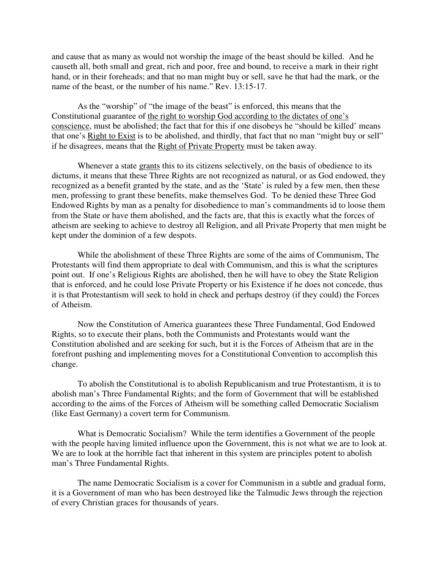and cause that as many as would not worship the image of the beast should be killed. And he causeth all, both small and great, rich and poor, free and bound, to receive a mark in their right hand, or in their foreheads; and that no man might buy or sell, save he that had the mark, or the name of the beast, or the number of his name." Rev. 13:15-17.

 As the "worship" of "the image of the beast" is enforced, this means that the Constitutional guarantee of the right to worship God according to the dictates of one's conscience, must be abolished; the fact that for this if one disobeys he "should be killed' means that one's Right to Exist is to be abolished, and thirdly, that fact that no man "might buy or sell" if he disagrees, means that the Right of Private Property must be taken away.

Whenever a state grants this to its citizens selectively, on the basis of obedience to its dictums, it means that these Three Rights are not recognized as natural, or as God endowed, they recognized as a benefit granted by the state, and as the 'State' is ruled by a few men, then these men, professing to grant these benefits, make themselves God. To be denied these Three God Endowed Rights by man as a penalty for disobedience to man's commandments id to loose them from the State or have them abolished, and the facts are, that this is exactly what the forces of atheism are seeking to achieve to destroy all Religion, and all Private Property that men might be kept under the dominion of a few despots.

 While the abolishment of these Three Rights are some of the aims of Communism, The Protestants will find them appropriate to deal with Communism, and this is what the scriptures point out. If one's Religious Rights are abolished, then he will have to obey the State Religion that is enforced, and he could lose Private Property or his Existence if he does not concede, thus it is that Protestantism will seek to hold in check and perhaps destroy (if they could) the Forces of Atheism.

 Now the Constitution of America guarantees these Three Fundamental, God Endowed Rights, so to execute their plans, both the Communists and Protestants would want the Constitution abolished and are seeking for such, but it is the Forces of Atheism that are in the forefront pushing and implementing moves for a Constitutional Convention to accomplish this change.

 To abolish the Constitutional is to abolish Republicanism and true Protestantism, it is to abolish man's Three Fundamental Rights; and the form of Government that will be established according to the aims of the Forces of Atheism will be something called Democratic Socialism (like East Germany) a covert term for Communism.

 What is Democratic Socialism? While the term identifies a Government of the people with the people having limited influence upon the Government, this is not what we are to look at. We are to look at the horrible fact that inherent in this system are principles potent to abolish man's Three Fundamental Rights.

 The name Democratic Socialism is a cover for Communism in a subtle and gradual form, it is a Government of man who has been destroyed like the Talmudic Jews through the rejection of every Christian graces for thousands of years.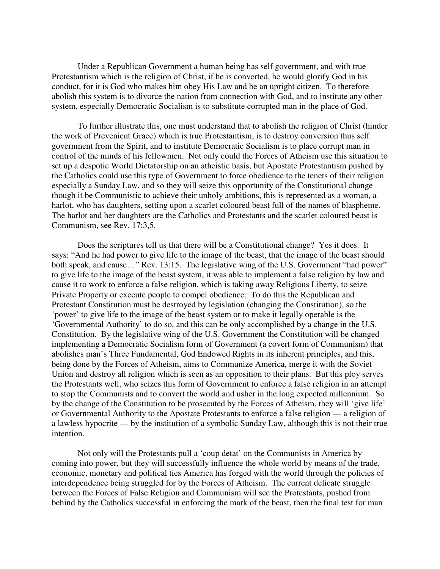Under a Republican Government a human being has self government, and with true Protestantism which is the religion of Christ, if he is converted, he would glorify God in his conduct, for it is God who makes him obey His Law and be an upright citizen. To therefore abolish this system is to divorce the nation from connection with God, and to institute any other system, especially Democratic Socialism is to substitute corrupted man in the place of God.

 To further illustrate this, one must understand that to abolish the religion of Christ (hinder the work of Prevenient Grace) which is true Protestantism, is to destroy conversion thus self government from the Spirit, and to institute Democratic Socialism is to place corrupt man in control of the minds of his fellowmen. Not only could the Forces of Atheism use this situation to set up a despotic World Dictatorship on an atheistic basis, but Apostate Protestantism pushed by the Catholics could use this type of Government to force obedience to the tenets of their religion especially a Sunday Law, and so they will seize this opportunity of the Constitutional change though it be Communistic to achieve their unholy ambitions, this is represented as a woman, a harlot, who has daughters, setting upon a scarlet coloured beast full of the names of blaspheme. The harlot and her daughters are the Catholics and Protestants and the scarlet coloured beast is Communism, see Rev. 17:3,5.

 Does the scriptures tell us that there will be a Constitutional change? Yes it does. It says: "And he had power to give life to the image of the beast, that the image of the beast should both speak, and cause..." Rev. 13:15. The legislative wing of the U.S. Government "had power" to give life to the image of the beast system, it was able to implement a false religion by law and cause it to work to enforce a false religion, which is taking away Religious Liberty, to seize Private Property or execute people to compel obedience. To do this the Republican and Protestant Constitution must be destroyed by legislation (changing the Constitution), so the 'power' to give life to the image of the beast system or to make it legally operable is the 'Governmental Authority' to do so, and this can be only accomplished by a change in the U.S. Constitution. By the legislative wing of the U.S. Government the Constitution will be changed implementing a Democratic Socialism form of Government (a covert form of Communism) that abolishes man's Three Fundamental, God Endowed Rights in its inherent principles, and this, being done by the Forces of Atheism, aims to Communize America, merge it with the Soviet Union and destroy all religion which is seen as an opposition to their plans. But this ploy serves the Protestants well, who seizes this form of Government to enforce a false religion in an attempt to stop the Communists and to convert the world and usher in the long expected millennium. So by the change of the Constitution to be prosecuted by the Forces of Atheism, they will 'give life' or Governmental Authority to the Apostate Protestants to enforce a false religion — a religion of a lawless hypocrite — by the institution of a symbolic Sunday Law, although this is not their true intention.

 Not only will the Protestants pull a 'coup detat' on the Communists in America by coming into power, but they will successfully influence the whole world by means of the trade, economic, monetary and political ties America has forged with the world through the policies of interdependence being struggled for by the Forces of Atheism. The current delicate struggle between the Forces of False Religion and Communism will see the Protestants, pushed from behind by the Catholics successful in enforcing the mark of the beast, then the final test for man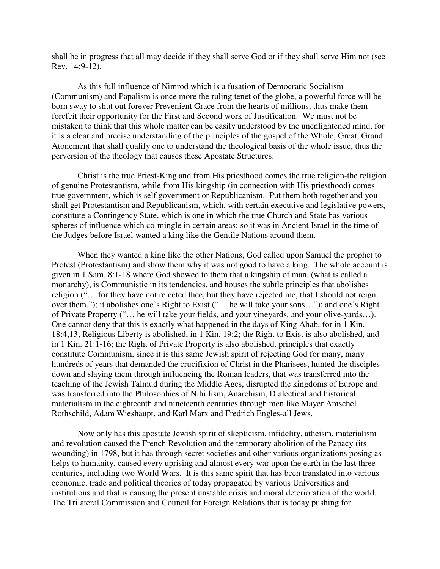shall be in progress that all may decide if they shall serve God or if they shall serve Him not (see Rev. 14:9-12).

 As this full influence of Nimrod which is a fusation of Democratic Socialism (Communism) and Papalism is once more the ruling tenet of the globe, a powerful force will be born sway to shut out forever Prevenient Grace from the hearts of millions, thus make them forefeit their opportunity for the First and Second work of Justification. We must not be mistaken to think that this whole matter can be easily understood by the unenlightened mind, for it is a clear and precise understanding of the principles of the gospel of the Whole, Great, Grand Atonement that shall qualify one to understand the theological basis of the whole issue, thus the perversion of the theology that causes these Apostate Structures.

 Christ is the true Priest-King and from His priesthood comes the true religion-the religion of genuine Protestantism, while from His kingship (in connection with His priesthood) comes true government, which is self government or Republicanism. Put them both together and you shall get Protestantism and Republicanism, which, with certain executive and legislative powers, constitute a Contingency State, which is one in which the true Church and State has various spheres of influence which co-mingle in certain areas; so it was in Ancient Israel in the time of the Judges before Israel wanted a king like the Gentile Nations around them.

 When they wanted a king like the other Nations, God called upon Samuel the prophet to Protest (Protestantism) and show them why it was not good to have a king. The whole account is given in 1 Sam. 8:1-18 where God showed to them that a kingship of man, (what is called a monarchy), is Communistic in its tendencies, and houses the subtle principles that abolishes religion ("… for they have not rejected thee, but they have rejected me, that I should not reign over them."); it abolishes one's Right to Exist ("… he will take your sons…"); and one's Right of Private Property ("… he will take your fields, and your vineyards, and your olive-yards…). One cannot deny that this is exactly what happened in the days of King Ahab, for in 1 Kin. 18:4,13; Religious Liberty is abolished, in 1 Kin. 19:2; the Right to Exist is also abolished, and in 1 Kin. 21:1-16; the Right of Private Property is also abolished, principles that exactly constitute Communism, since it is this same Jewish spirit of rejecting God for many, many hundreds of years that demanded the crucifixion of Christ in the Pharisees, hunted the disciples down and slaying them through influencing the Roman leaders, that was transferred into the teaching of the Jewish Talmud during the Middle Ages, disrupted the kingdoms of Europe and was transferred into the Philosophies of Nihillism, Anarchism, Dialectical and historical materialism in the eighteenth and nineteenth centuries through men like Mayer Amschel Rothschild, Adam Wieshaupt, and Karl Marx and Fredrich Engles-all Jews.

 Now only has this apostate Jewish spirit of skepticism, infidelity, atheism, materialism and revolution caused the French Revolution and the temporary abolition of the Papacy (its wounding) in 1798, but it has through secret societies and other various organizations posing as helps to humanity, caused every uprising and almost every war upon the earth in the last three centuries, including two World Wars. It is this same spirit that has been translated into various economic, trade and political theories of today propagated by various Universities and institutions and that is causing the present unstable crisis and moral deterioration of the world. The Trilateral Commission and Council for Foreign Relations that is today pushing for